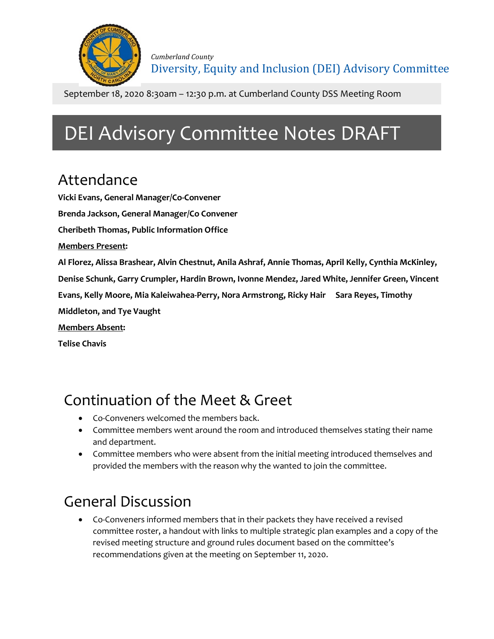

September 18, 2020 8:30am – 12:30 p.m. at Cumberland County DSS Meeting Room

# DEI Advisory Committee Notes DRAFT

#### Attendance

**Vicki Evans, General Manager/Co-Convener Brenda Jackson, General Manager/Co Convener Cheribeth Thomas, Public Information Office Members Present: Al Florez, Alissa Brashear, Alvin Chestnut, Anila Ashraf, Annie Thomas, April Kelly, Cynthia McKinley, Denise Schunk, Garry Crumpler, Hardin Brown, Ivonne Mendez, Jared White, Jennifer Green, Vincent Evans, Kelly Moore, Mia Kaleiwahea-Perry, Nora Armstrong, Ricky Hair Sara Reyes, Timothy Middleton, and Tye Vaught Members Absent: Telise Chavis**

## Continuation of the Meet & Greet

- Co-Conveners welcomed the members back.
- Committee members went around the room and introduced themselves stating their name and department.
- Committee members who were absent from the initial meeting introduced themselves and provided the members with the reason why the wanted to join the committee.

## General Discussion

• Co-Conveners informed members that in their packets they have received a revised committee roster, a handout with links to multiple strategic plan examples and a copy of the revised meeting structure and ground rules document based on the committee's recommendations given at the meeting on September 11, 2020.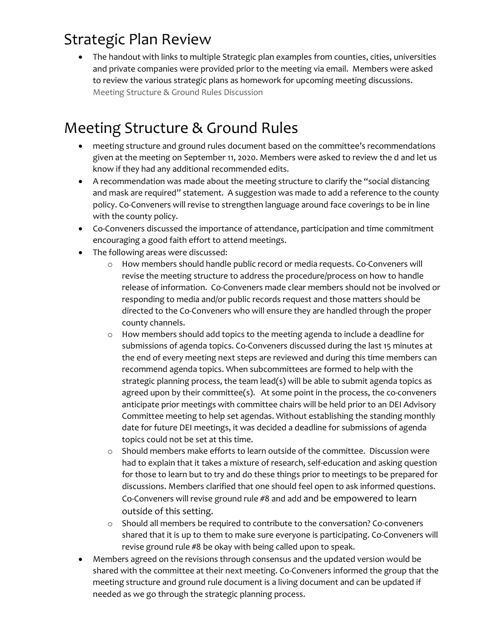#### Strategic Plan Review

• The handout with links to multiple Strategic plan examples from counties, cities, universities and private companies were provided prior to the meeting via email. Members were asked to review the various strategic plans as homework for upcoming meeting discussions. Meeting Structure & Ground Rules Discussion

### Meeting Structure & Ground Rules

- meeting structure and ground rules document based on the committee's recommendations given at the meeting on September 11, 2020. Members were asked to review the d and let us know if they had any additional recommended edits.
- A recommendation was made about the meeting structure to clarify the "social distancing and mask are required" statement. A suggestion was made to add a reference to the county policy. Co-Conveners will revise to strengthen language around face coverings to be in line with the county policy.
- Co-Conveners discussed the importance of attendance, participation and time commitment encouraging a good faith effort to attend meetings.
- The following areas were discussed:
	- o How members should handle public record or media requests. Co-Conveners will revise the meeting structure to address the procedure/process on how to handle release of information. Co-Conveners made clear members should not be involved or responding to media and/or public records request and those matters should be directed to the Co-Conveners who will ensure they are handled through the proper county channels.
	- o How members should add topics to the meeting agenda to include a deadline for submissions of agenda topics. Co-Conveners discussed during the last 15 minutes at the end of every meeting next steps are reviewed and during this time members can recommend agenda topics. When subcommittees are formed to help with the strategic planning process, the team lead(s) will be able to submit agenda topics as agreed upon by their committee(s). At some point in the process, the co-conveners anticipate prior meetings with committee chairs will be held prior to an DEI Advisory Committee meeting to help set agendas. Without establishing the standing monthly date for future DEI meetings, it was decided a deadline for submissions of agenda topics could not be set at this time.
	- Should members make efforts to learn outside of the committee. Discussion were had to explain that it takes a mixture of research, self-education and asking question for those to learn but to try and do these things prior to meetings to be prepared for discussions. Members clarified that one should feel open to ask informed questions. Co-Conveners will revise ground rule #8 and add and be empowered to learn outside of this setting.
	- o Should all members be required to contribute to the conversation? Co-conveners shared that it is up to them to make sure everyone is participating. Co-Conveners will revise ground rule #8 be okay with being called upon to speak.
- Members agreed on the revisions through consensus and the updated version would be shared with the committee at their next meeting. Co-Conveners informed the group that the meeting structure and ground rule document is a living document and can be updated if needed as we go through the strategic planning process.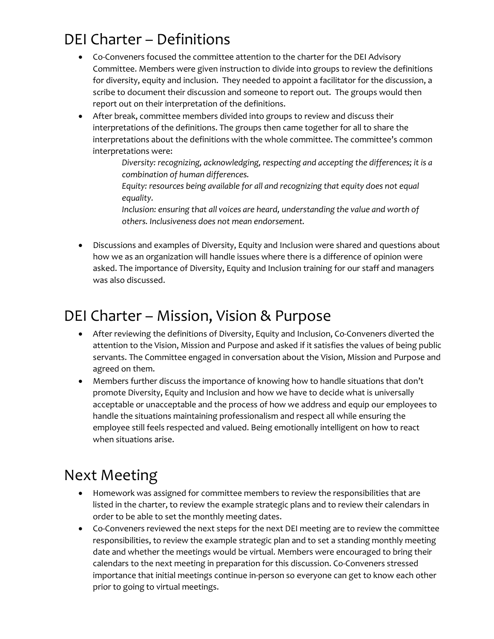### DEI Charter – Definitions

- Co-Conveners focused the committee attention to the charter for the DEI Advisory Committee. Members were given instruction to divide into groups to review the definitions for diversity, equity and inclusion. They needed to appoint a facilitator for the discussion, a scribe to document their discussion and someone to report out. The groups would then report out on their interpretation of the definitions.
- After break, committee members divided into groups to review and discuss their interpretations of the definitions. The groups then came together for all to share the interpretations about the definitions with the whole committee. The committee's common interpretations were:
	- *Diversity: recognizing, acknowledging, respecting and accepting the differences; it is a combination of human differences.*
	- *Equity: resources being available for all and recognizing that equity does not equal equality.*
	- *Inclusion: ensuring that all voices are heard, understanding the value and worth of others. Inclusiveness does not mean endorsement.*
- Discussions and examples of Diversity, Equity and Inclusion were shared and questions about how we as an organization will handle issues where there is a difference of opinion were asked. The importance of Diversity, Equity and Inclusion training for our staff and managers was also discussed.

#### DEI Charter – Mission, Vision & Purpose

- After reviewing the definitions of Diversity, Equity and Inclusion, Co-Conveners diverted the attention to the Vision, Mission and Purpose and asked if it satisfies the values of being public servants. The Committee engaged in conversation about the Vision, Mission and Purpose and agreed on them.
- Members further discuss the importance of knowing how to handle situations that don't promote Diversity, Equity and Inclusion and how we have to decide what is universally acceptable or unacceptable and the process of how we address and equip our employees to handle the situations maintaining professionalism and respect all while ensuring the employee still feels respected and valued. Being emotionally intelligent on how to react when situations arise.

#### Next Meeting

- Homework was assigned for committee members to review the responsibilities that are listed in the charter, to review the example strategic plans and to review their calendars in order to be able to set the monthly meeting dates.
- Co-Conveners reviewed the next steps for the next DEI meeting are to review the committee responsibilities, to review the example strategic plan and to set a standing monthly meeting date and whether the meetings would be virtual. Members were encouraged to bring their calendars to the next meeting in preparation for this discussion. Co-Conveners stressed importance that initial meetings continue in-person so everyone can get to know each other prior to going to virtual meetings.